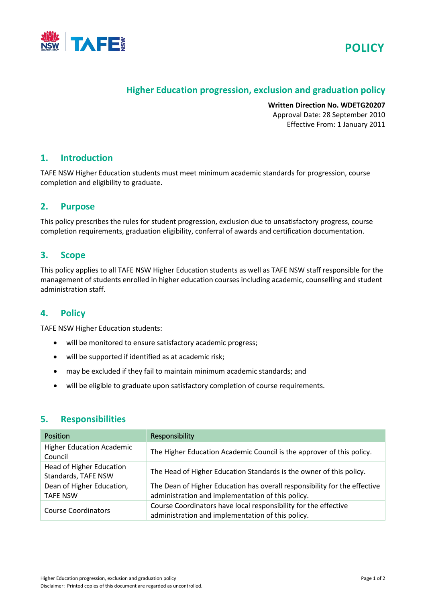



# **Higher Education progression, exclusion and graduation policy**

**Written Direction No. WDETG20207** Approval Date: 28 September 2010 Effective From: 1 January 2011

### **1. Introduction**

TAFE NSW Higher Education students must meet minimum academic standards for progression, course completion and eligibility to graduate.

### **2. Purpose**

This policy prescribes the rules for student progression, exclusion due to unsatisfactory progress, course completion requirements, graduation eligibility, conferral of awards and certification documentation.

## **3. Scope**

This policy applies to all TAFE NSW Higher Education students as well as TAFE NSW staff responsible for the management of students enrolled in higher education courses including academic, counselling and student administration staff.

## **4. Policy**

TAFE NSW Higher Education students:

- will be monitored to ensure satisfactory academic progress;
- will be supported if identified as at academic risk;
- may be excluded if they fail to maintain minimum academic standards; and
- will be eligible to graduate upon satisfactory completion of course requirements.

## **5. Responsibilities**

| <b>Position</b>                                        | Responsibility                                                                                                                 |
|--------------------------------------------------------|--------------------------------------------------------------------------------------------------------------------------------|
| <b>Higher Education Academic</b><br>Council            | The Higher Education Academic Council is the approver of this policy.                                                          |
| <b>Head of Higher Education</b><br>Standards, TAFE NSW | The Head of Higher Education Standards is the owner of this policy.                                                            |
| Dean of Higher Education,<br><b>TAFE NSW</b>           | The Dean of Higher Education has overall responsibility for the effective<br>administration and implementation of this policy. |
| <b>Course Coordinators</b>                             | Course Coordinators have local responsibility for the effective<br>administration and implementation of this policy.           |